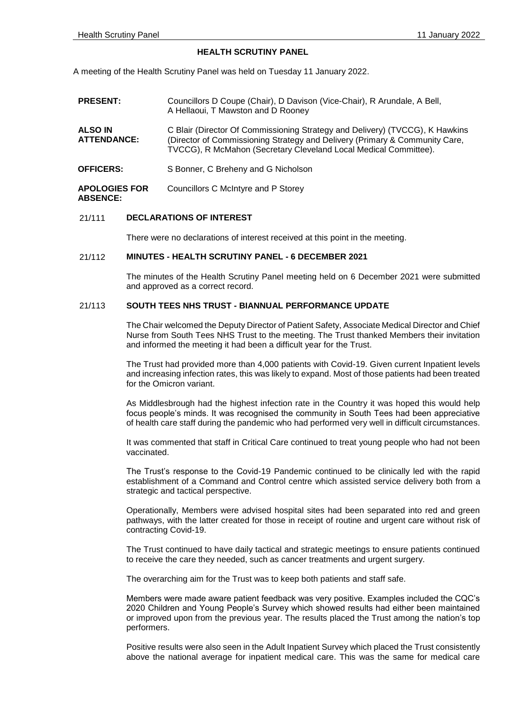#### **HEALTH SCRUTINY PANEL**

A meeting of the Health Scrutiny Panel was held on Tuesday 11 January 2022.

| <b>PRESENT:</b>                         | Councillors D Coupe (Chair), D Davison (Vice-Chair), R Arundale, A Bell,<br>A Hellaoui, T Mawston and D Rooney                                                                                                                  |
|-----------------------------------------|---------------------------------------------------------------------------------------------------------------------------------------------------------------------------------------------------------------------------------|
| <b>ALSO IN</b><br><b>ATTENDANCE:</b>    | C Blair (Director Of Commissioning Strategy and Delivery) (TVCCG), K Hawkins<br>(Director of Commissioning Strategy and Delivery (Primary & Community Care,<br>TVCCG), R McMahon (Secretary Cleveland Local Medical Committee). |
| <b>OFFICERS:</b>                        | S Bonner, C Breheny and G Nicholson                                                                                                                                                                                             |
| <b>APOLOGIES FOR</b><br><b>ABSENCE:</b> | Councillors C McIntyre and P Storey                                                                                                                                                                                             |

## 21/111 **DECLARATIONS OF INTEREST**

There were no declarations of interest received at this point in the meeting.

#### 21/112 **MINUTES - HEALTH SCRUTINY PANEL - 6 DECEMBER 2021**

The minutes of the Health Scrutiny Panel meeting held on 6 December 2021 were submitted and approved as a correct record.

## 21/113 **SOUTH TEES NHS TRUST - BIANNUAL PERFORMANCE UPDATE**

The Chair welcomed the Deputy Director of Patient Safety, Associate Medical Director and Chief Nurse from South Tees NHS Trust to the meeting. The Trust thanked Members their invitation and informed the meeting it had been a difficult year for the Trust.

The Trust had provided more than 4,000 patients with Covid-19. Given current Inpatient levels and increasing infection rates, this was likely to expand. Most of those patients had been treated for the Omicron variant.

As Middlesbrough had the highest infection rate in the Country it was hoped this would help focus people's minds. It was recognised the community in South Tees had been appreciative of health care staff during the pandemic who had performed very well in difficult circumstances.

It was commented that staff in Critical Care continued to treat young people who had not been vaccinated.

The Trust's response to the Covid-19 Pandemic continued to be clinically led with the rapid establishment of a Command and Control centre which assisted service delivery both from a strategic and tactical perspective.

Operationally, Members were advised hospital sites had been separated into red and green pathways, with the latter created for those in receipt of routine and urgent care without risk of contracting Covid-19.

The Trust continued to have daily tactical and strategic meetings to ensure patients continued to receive the care they needed, such as cancer treatments and urgent surgery.

The overarching aim for the Trust was to keep both patients and staff safe.

Members were made aware patient feedback was very positive. Examples included the CQC's 2020 Children and Young People's Survey which showed results had either been maintained or improved upon from the previous year. The results placed the Trust among the nation's top performers.

Positive results were also seen in the Adult Inpatient Survey which placed the Trust consistently above the national average for inpatient medical care. This was the same for medical care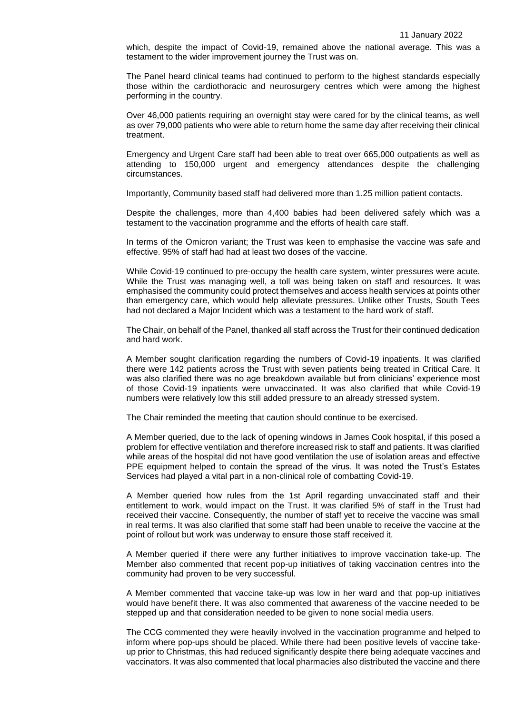which, despite the impact of Covid-19, remained above the national average. This was a testament to the wider improvement journey the Trust was on.

The Panel heard clinical teams had continued to perform to the highest standards especially those within the cardiothoracic and neurosurgery centres which were among the highest performing in the country.

Over 46,000 patients requiring an overnight stay were cared for by the clinical teams, as well as over 79,000 patients who were able to return home the same day after receiving their clinical treatment.

Emergency and Urgent Care staff had been able to treat over 665,000 outpatients as well as attending to 150,000 urgent and emergency attendances despite the challenging circumstances.

Importantly, Community based staff had delivered more than 1.25 million patient contacts.

Despite the challenges, more than 4,400 babies had been delivered safely which was a testament to the vaccination programme and the efforts of health care staff.

In terms of the Omicron variant; the Trust was keen to emphasise the vaccine was safe and effective. 95% of staff had had at least two doses of the vaccine.

While Covid-19 continued to pre-occupy the health care system, winter pressures were acute. While the Trust was managing well, a toll was being taken on staff and resources. It was emphasised the community could protect themselves and access health services at points other than emergency care, which would help alleviate pressures. Unlike other Trusts, South Tees had not declared a Major Incident which was a testament to the hard work of staff.

The Chair, on behalf of the Panel, thanked all staff across the Trust for their continued dedication and hard work.

A Member sought clarification regarding the numbers of Covid-19 inpatients. It was clarified there were 142 patients across the Trust with seven patients being treated in Critical Care. It was also clarified there was no age breakdown available but from clinicians' experience most of those Covid-19 inpatients were unvaccinated. It was also clarified that while Covid-19 numbers were relatively low this still added pressure to an already stressed system.

The Chair reminded the meeting that caution should continue to be exercised.

A Member queried, due to the lack of opening windows in James Cook hospital, if this posed a problem for effective ventilation and therefore increased risk to staff and patients. It was clarified while areas of the hospital did not have good ventilation the use of isolation areas and effective PPE equipment helped to contain the spread of the virus. It was noted the Trust's Estates Services had played a vital part in a non-clinical role of combatting Covid-19.

A Member queried how rules from the 1st April regarding unvaccinated staff and their entitlement to work, would impact on the Trust. It was clarified 5% of staff in the Trust had received their vaccine. Consequently, the number of staff yet to receive the vaccine was small in real terms. It was also clarified that some staff had been unable to receive the vaccine at the point of rollout but work was underway to ensure those staff received it.

A Member queried if there were any further initiatives to improve vaccination take-up. The Member also commented that recent pop-up initiatives of taking vaccination centres into the community had proven to be very successful.

A Member commented that vaccine take-up was low in her ward and that pop-up initiatives would have benefit there. It was also commented that awareness of the vaccine needed to be stepped up and that consideration needed to be given to none social media users.

The CCG commented they were heavily involved in the vaccination programme and helped to inform where pop-ups should be placed. While there had been positive levels of vaccine takeup prior to Christmas, this had reduced significantly despite there being adequate vaccines and vaccinators. It was also commented that local pharmacies also distributed the vaccine and there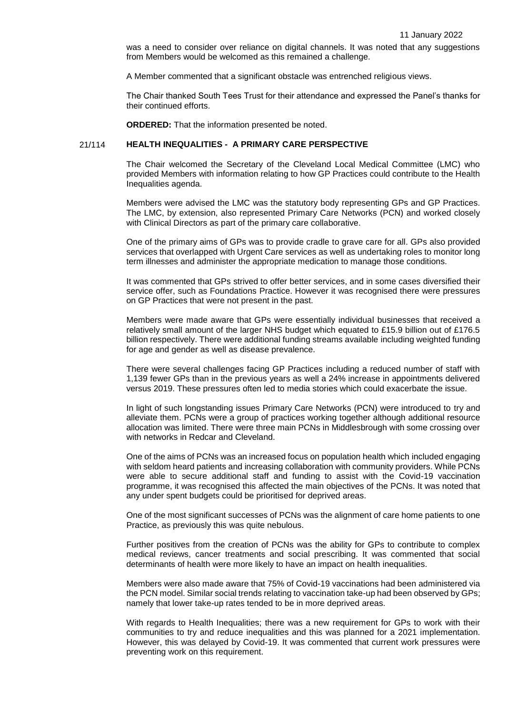was a need to consider over reliance on digital channels. It was noted that any suggestions from Members would be welcomed as this remained a challenge.

A Member commented that a significant obstacle was entrenched religious views.

The Chair thanked South Tees Trust for their attendance and expressed the Panel's thanks for their continued efforts.

**ORDERED:** That the information presented be noted.

## 21/114 **HEALTH INEQUALITIES - A PRIMARY CARE PERSPECTIVE**

The Chair welcomed the Secretary of the Cleveland Local Medical Committee (LMC) who provided Members with information relating to how GP Practices could contribute to the Health Inequalities agenda.

Members were advised the LMC was the statutory body representing GPs and GP Practices. The LMC, by extension, also represented Primary Care Networks (PCN) and worked closely with Clinical Directors as part of the primary care collaborative.

One of the primary aims of GPs was to provide cradle to grave care for all. GPs also provided services that overlapped with Urgent Care services as well as undertaking roles to monitor long term illnesses and administer the appropriate medication to manage those conditions.

It was commented that GPs strived to offer better services, and in some cases diversified their service offer, such as Foundations Practice. However it was recognised there were pressures on GP Practices that were not present in the past.

Members were made aware that GPs were essentially individual businesses that received a relatively small amount of the larger NHS budget which equated to £15.9 billion out of £176.5 billion respectively. There were additional funding streams available including weighted funding for age and gender as well as disease prevalence.

There were several challenges facing GP Practices including a reduced number of staff with 1,139 fewer GPs than in the previous years as well a 24% increase in appointments delivered versus 2019. These pressures often led to media stories which could exacerbate the issue.

In light of such longstanding issues Primary Care Networks (PCN) were introduced to try and alleviate them. PCNs were a group of practices working together although additional resource allocation was limited. There were three main PCNs in Middlesbrough with some crossing over with networks in Redcar and Cleveland.

One of the aims of PCNs was an increased focus on population health which included engaging with seldom heard patients and increasing collaboration with community providers. While PCNs were able to secure additional staff and funding to assist with the Covid-19 vaccination programme, it was recognised this affected the main objectives of the PCNs. It was noted that any under spent budgets could be prioritised for deprived areas.

One of the most significant successes of PCNs was the alignment of care home patients to one Practice, as previously this was quite nebulous.

Further positives from the creation of PCNs was the ability for GPs to contribute to complex medical reviews, cancer treatments and social prescribing. It was commented that social determinants of health were more likely to have an impact on health inequalities.

Members were also made aware that 75% of Covid-19 vaccinations had been administered via the PCN model. Similar social trends relating to vaccination take-up had been observed by GPs; namely that lower take-up rates tended to be in more deprived areas.

With regards to Health Inequalities; there was a new requirement for GPs to work with their communities to try and reduce inequalities and this was planned for a 2021 implementation. However, this was delayed by Covid-19. It was commented that current work pressures were preventing work on this requirement.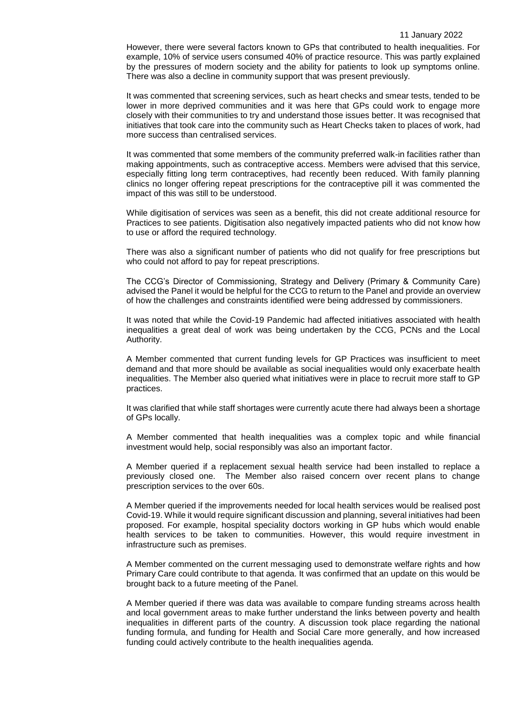However, there were several factors known to GPs that contributed to health inequalities. For example, 10% of service users consumed 40% of practice resource. This was partly explained by the pressures of modern society and the ability for patients to look up symptoms online. There was also a decline in community support that was present previously.

It was commented that screening services, such as heart checks and smear tests, tended to be lower in more deprived communities and it was here that GPs could work to engage more closely with their communities to try and understand those issues better. It was recognised that initiatives that took care into the community such as Heart Checks taken to places of work, had more success than centralised services.

It was commented that some members of the community preferred walk-in facilities rather than making appointments, such as contraceptive access. Members were advised that this service, especially fitting long term contraceptives, had recently been reduced. With family planning clinics no longer offering repeat prescriptions for the contraceptive pill it was commented the impact of this was still to be understood.

While digitisation of services was seen as a benefit, this did not create additional resource for Practices to see patients. Digitisation also negatively impacted patients who did not know how to use or afford the required technology.

There was also a significant number of patients who did not qualify for free prescriptions but who could not afford to pay for repeat prescriptions.

The CCG's Director of Commissioning, Strategy and Delivery (Primary & Community Care) advised the Panel it would be helpful for the CCG to return to the Panel and provide an overview of how the challenges and constraints identified were being addressed by commissioners.

It was noted that while the Covid-19 Pandemic had affected initiatives associated with health inequalities a great deal of work was being undertaken by the CCG, PCNs and the Local Authority.

A Member commented that current funding levels for GP Practices was insufficient to meet demand and that more should be available as social inequalities would only exacerbate health inequalities. The Member also queried what initiatives were in place to recruit more staff to GP practices.

It was clarified that while staff shortages were currently acute there had always been a shortage of GPs locally.

A Member commented that health inequalities was a complex topic and while financial investment would help, social responsibly was also an important factor.

A Member queried if a replacement sexual health service had been installed to replace a previously closed one. The Member also raised concern over recent plans to change prescription services to the over 60s.

A Member queried if the improvements needed for local health services would be realised post Covid-19. While it would require significant discussion and planning, several initiatives had been proposed. For example, hospital speciality doctors working in GP hubs which would enable health services to be taken to communities. However, this would require investment in infrastructure such as premises.

A Member commented on the current messaging used to demonstrate welfare rights and how Primary Care could contribute to that agenda. It was confirmed that an update on this would be brought back to a future meeting of the Panel.

A Member queried if there was data was available to compare funding streams across health and local government areas to make further understand the links between poverty and health inequalities in different parts of the country. A discussion took place regarding the national funding formula, and funding for Health and Social Care more generally, and how increased funding could actively contribute to the health inequalities agenda.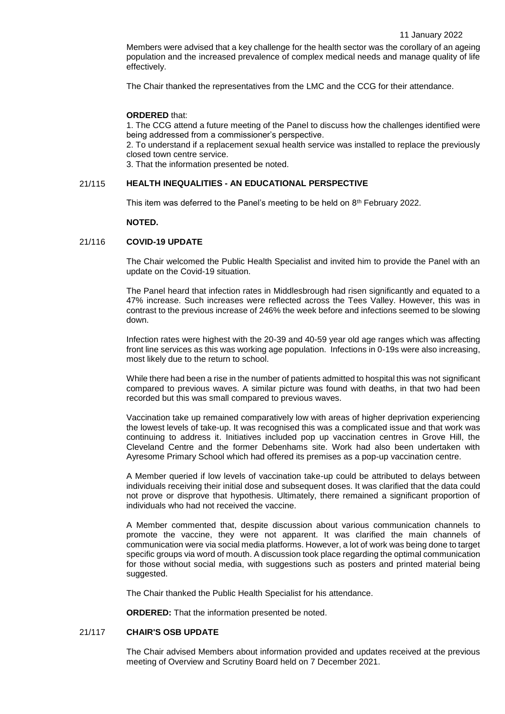Members were advised that a key challenge for the health sector was the corollary of an ageing population and the increased prevalence of complex medical needs and manage quality of life effectively.

The Chair thanked the representatives from the LMC and the CCG for their attendance.

#### **ORDERED** that:

1. The CCG attend a future meeting of the Panel to discuss how the challenges identified were being addressed from a commissioner's perspective.

2. To understand if a replacement sexual health service was installed to replace the previously closed town centre service.

3. That the information presented be noted.

#### 21/115 **HEALTH INEQUALITIES - AN EDUCATIONAL PERSPECTIVE**

This item was deferred to the Panel's meeting to be held on 8<sup>th</sup> February 2022.

#### **NOTED.**

### 21/116 **COVID-19 UPDATE**

The Chair welcomed the Public Health Specialist and invited him to provide the Panel with an update on the Covid-19 situation.

The Panel heard that infection rates in Middlesbrough had risen significantly and equated to a 47% increase. Such increases were reflected across the Tees Valley. However, this was in contrast to the previous increase of 246% the week before and infections seemed to be slowing down.

Infection rates were highest with the 20-39 and 40-59 year old age ranges which was affecting front line services as this was working age population. Infections in 0-19s were also increasing, most likely due to the return to school.

While there had been a rise in the number of patients admitted to hospital this was not significant compared to previous waves. A similar picture was found with deaths, in that two had been recorded but this was small compared to previous waves.

Vaccination take up remained comparatively low with areas of higher deprivation experiencing the lowest levels of take-up. It was recognised this was a complicated issue and that work was continuing to address it. Initiatives included pop up vaccination centres in Grove Hill, the Cleveland Centre and the former Debenhams site. Work had also been undertaken with Ayresome Primary School which had offered its premises as a pop-up vaccination centre.

A Member queried if low levels of vaccination take-up could be attributed to delays between individuals receiving their initial dose and subsequent doses. It was clarified that the data could not prove or disprove that hypothesis. Ultimately, there remained a significant proportion of individuals who had not received the vaccine.

A Member commented that, despite discussion about various communication channels to promote the vaccine, they were not apparent. It was clarified the main channels of communication were via social media platforms. However, a lot of work was being done to target specific groups via word of mouth. A discussion took place regarding the optimal communication for those without social media, with suggestions such as posters and printed material being suggested.

The Chair thanked the Public Health Specialist for his attendance.

**ORDERED:** That the information presented be noted.

## 21/117 **CHAIR'S OSB UPDATE**

The Chair advised Members about information provided and updates received at the previous meeting of Overview and Scrutiny Board held on 7 December 2021.